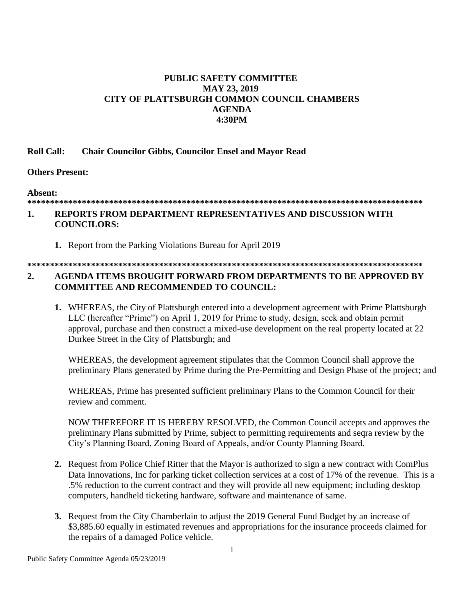### **PUBLIC SAFETY COMMITTEE MAY 23, 2019** CITY OF PLATTSBURGH COMMON COUNCIL CHAMBERS **AGENDA 4:30PM**

#### **Roll Call: Chair Councilor Gibbs, Councilor Ensel and Mayor Read**

### **Others Present:**

### Absent:

# 

### REPORTS FROM DEPARTMENT REPRESENTATIVES AND DISCUSSION WITH  $\mathbf{1}$ . **COUNCILORS:**

1. Report from the Parking Violations Bureau for April 2019

**COMMITTEE AND RECOMMENDED TO COUNCIL:** 

#### $2.$ AGENDA ITEMS BROUGHT FORWARD FROM DEPARTMENTS TO BE APPROVED BY

1. WHEREAS, the City of Plattsburgh entered into a development agreement with Prime Plattsburgh LLC (hereafter "Prime") on April 1, 2019 for Prime to study, design, seek and obtain permit approval, purchase and then construct a mixed-use development on the real property located at 22 Durkee Street in the City of Plattsburgh; and

WHEREAS, the development agreement stipulates that the Common Council shall approve the preliminary Plans generated by Prime during the Pre-Permitting and Design Phase of the project; and

WHEREAS, Prime has presented sufficient preliminary Plans to the Common Council for their review and comment.

NOW THEREFORE IT IS HEREBY RESOLVED, the Common Council accepts and approves the preliminary Plans submitted by Prime, subject to permitting requirements and seqra review by the City's Planning Board, Zoning Board of Appeals, and/or County Planning Board.

- 2. Request from Police Chief Ritter that the Mayor is authorized to sign a new contract with ComPlus Data Innovations, Inc for parking ticket collection services at a cost of 17% of the revenue. This is a .5% reduction to the current contract and they will provide all new equipment; including desktop computers, handheld ticketing hardware, software and maintenance of same.
- 3. Request from the City Chamberlain to adjust the 2019 General Fund Budget by an increase of \$3,885.60 equally in estimated revenues and appropriations for the insurance proceeds claimed for the repairs of a damaged Police vehicle.